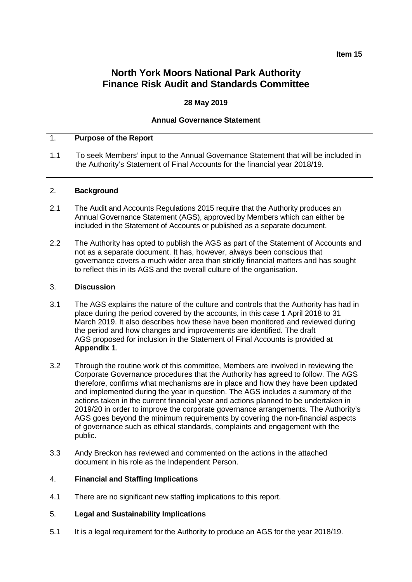#### **Item 15**

## **North York Moors National Park Authority Finance Risk Audit and Standards Committee**

## **28 May 2019**

#### **Annual Governance Statement**

## 1. **Purpose of the Report**

1.1 To seek Members' input to the Annual Governance Statement that will be included in the Authority's Statement of Final Accounts for the financial year 2018/19.

#### 2. **Background**

- 2.1 The Audit and Accounts Regulations 2015 require that the Authority produces an Annual Governance Statement (AGS), approved by Members which can either be included in the Statement of Accounts or published as a separate document.
- 2.2 The Authority has opted to publish the AGS as part of the Statement of Accounts and not as a separate document. It has, however, always been conscious that governance covers a much wider area than strictly financial matters and has sought to reflect this in its AGS and the overall culture of the organisation.

### 3. **Discussion**

- 3.1 The AGS explains the nature of the culture and controls that the Authority has had in place during the period covered by the accounts, in this case 1 April 2018 to 31 March 2019. It also describes how these have been monitored and reviewed during the period and how changes and improvements are identified. The draft AGS proposed for inclusion in the Statement of Final Accounts is provided at **Appendix 1**.
- 3.2 Through the routine work of this committee, Members are involved in reviewing the Corporate Governance procedures that the Authority has agreed to follow. The AGS therefore, confirms what mechanisms are in place and how they have been updated and implemented during the year in question. The AGS includes a summary of the actions taken in the current financial year and actions planned to be undertaken in 2019/20 in order to improve the corporate governance arrangements. The Authority's AGS goes beyond the minimum requirements by covering the non-financial aspects of governance such as ethical standards, complaints and engagement with the public.
- 3.3 Andy Breckon has reviewed and commented on the actions in the attached document in his role as the Independent Person.

#### 4. **Financial and Staffing Implications**

4.1 There are no significant new staffing implications to this report.

#### 5. **Legal and Sustainability Implications**

5.1 It is a legal requirement for the Authority to produce an AGS for the year 2018/19.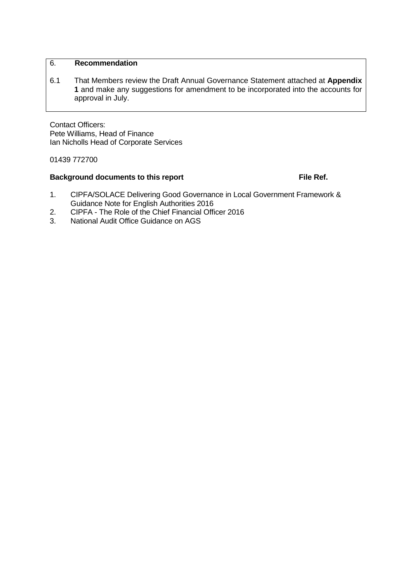## 6. **Recommendation**

6.1 That Members review the Draft Annual Governance Statement attached at **Appendix 1** and make any suggestions for amendment to be incorporated into the accounts for approval in July.

Contact Officers: Pete Williams, Head of Finance Ian Nicholls Head of Corporate Services

01439 772700

## **Background documents to this report File Ref.**

- 1. CIPFA/SOLACE Delivering Good Governance in Local Government Framework & Guidance Note for English Authorities 2016
- 2. CIPFA The Role of the Chief Financial Officer 2016<br>3. National Audit Office Guidance on AGS
- 3. National Audit Office Guidance on AGS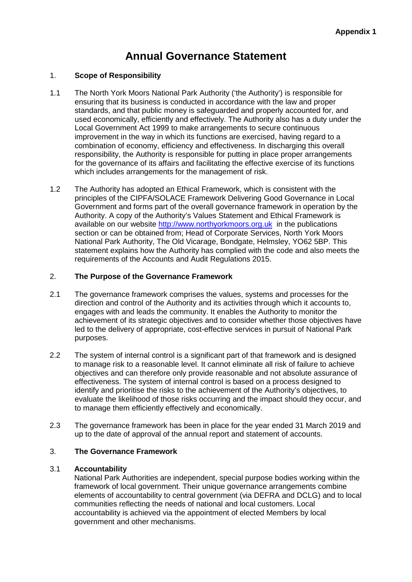# **Annual Governance Statement**

## 1. **Scope of Responsibility**

- 1.1 The North York Moors National Park Authority ('the Authority') is responsible for ensuring that its business is conducted in accordance with the law and proper standards, and that public money is safeguarded and properly accounted for, and used economically, efficiently and effectively. The Authority also has a duty under the Local Government Act 1999 to make arrangements to secure continuous improvement in the way in which its functions are exercised, having regard to a combination of economy, efficiency and effectiveness. In discharging this overall responsibility, the Authority is responsible for putting in place proper arrangements for the governance of its affairs and facilitating the effective exercise of its functions which includes arrangements for the management of risk.
- 1.2 The Authority has adopted an Ethical Framework, which is consistent with the principles of the CIPFA/SOLACE Framework Delivering Good Governance in Local Government and forms part of the overall governance framework in operation by the Authority. A copy of the Authority's Values Statement and Ethical Framework is available on our website [http://www.northyorkmoors.org.uk](http://www.northyorkmoors.org.uk/) in the publications section or can be obtained from; Head of Corporate Services, North York Moors National Park Authority, The Old Vicarage, Bondgate, Helmsley, YO62 5BP. This statement explains how the Authority has complied with the code and also meets the requirements of the Accounts and Audit Regulations 2015.

## 2. **The Purpose of the Governance Framework**

- 2.1 The governance framework comprises the values, systems and processes for the direction and control of the Authority and its activities through which it accounts to, engages with and leads the community. It enables the Authority to monitor the achievement of its strategic objectives and to consider whether those objectives have led to the delivery of appropriate, cost-effective services in pursuit of National Park purposes.
- 2.2 The system of internal control is a significant part of that framework and is designed to manage risk to a reasonable level. It cannot eliminate all risk of failure to achieve objectives and can therefore only provide reasonable and not absolute assurance of effectiveness. The system of internal control is based on a process designed to identify and prioritise the risks to the achievement of the Authority's objectives, to evaluate the likelihood of those risks occurring and the impact should they occur, and to manage them efficiently effectively and economically.
- 2.3 The governance framework has been in place for the year ended 31 March 2019 and up to the date of approval of the annual report and statement of accounts.

## 3. **The Governance Framework**

## 3.1 **Accountability**

National Park Authorities are independent, special purpose bodies working within the framework of local government. Their unique governance arrangements combine elements of accountability to central government (via DEFRA and DCLG) and to local communities reflecting the needs of national and local customers. Local accountability is achieved via the appointment of elected Members by local government and other mechanisms.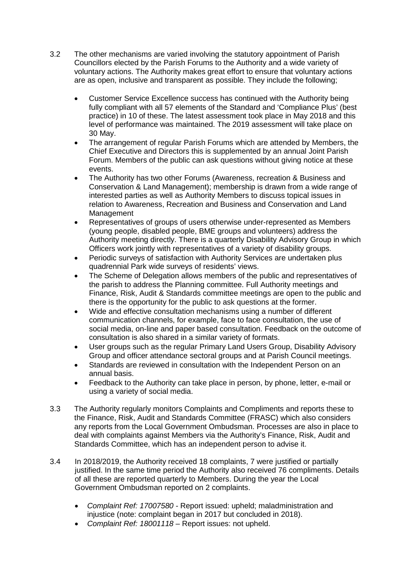- 3.2 The other mechanisms are varied involving the statutory appointment of Parish Councillors elected by the Parish Forums to the Authority and a wide variety of voluntary actions. The Authority makes great effort to ensure that voluntary actions are as open, inclusive and transparent as possible. They include the following;
	- Customer Service Excellence success has continued with the Authority being fully compliant with all 57 elements of the Standard and 'Compliance Plus' (best practice) in 10 of these. The latest assessment took place in May 2018 and this level of performance was maintained. The 2019 assessment will take place on 30 May.
	- The arrangement of regular Parish Forums which are attended by Members, the Chief Executive and Directors this is supplemented by an annual Joint Parish Forum. Members of the public can ask questions without giving notice at these events.
	- The Authority has two other Forums (Awareness, recreation & Business and Conservation & Land Management); membership is drawn from a wide range of interested parties as well as Authority Members to discuss topical issues in relation to Awareness, Recreation and Business and Conservation and Land Management
	- Representatives of groups of users otherwise under-represented as Members (young people, disabled people, BME groups and volunteers) address the Authority meeting directly. There is a quarterly Disability Advisory Group in which Officers work jointly with representatives of a variety of disability groups.
	- Periodic surveys of satisfaction with Authority Services are undertaken plus quadrennial Park wide surveys of residents' views.
	- The Scheme of Delegation allows members of the public and representatives of the parish to address the Planning committee. Full Authority meetings and Finance, Risk, Audit & Standards committee meetings are open to the public and there is the opportunity for the public to ask questions at the former.
	- Wide and effective consultation mechanisms using a number of different communication channels, for example, face to face consultation, the use of social media, on-line and paper based consultation. Feedback on the outcome of consultation is also shared in a similar variety of formats.
	- User groups such as the regular Primary Land Users Group, Disability Advisory Group and officer attendance sectoral groups and at Parish Council meetings.
	- Standards are reviewed in consultation with the Independent Person on an annual basis.
	- Feedback to the Authority can take place in person, by phone, letter, e-mail or using a variety of social media.
- 3.3 The Authority regularly monitors Complaints and Compliments and reports these to the Finance, Risk, Audit and Standards Committee (FRASC) which also considers any reports from the Local Government Ombudsman. Processes are also in place to deal with complaints against Members via the Authority's Finance, Risk, Audit and Standards Committee, which has an independent person to advise it.
- 3.4 In 2018/2019, the Authority received 18 complaints, 7 were justified or partially justified. In the same time period the Authority also received 76 compliments. Details of all these are reported quarterly to Members. During the year the Local Government Ombudsman reported on 2 complaints.
	- *Complaint Ref: 17007580 -* Report issued: upheld; maladministration and injustice (note: complaint began in 2017 but concluded in 2018).
	- *Complaint Ref: 18001118* Report issues: not upheld.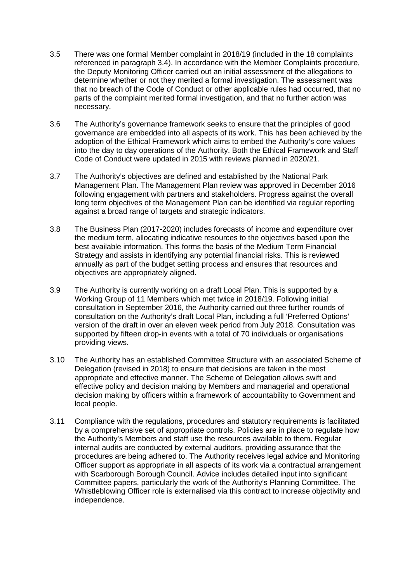- 3.5 There was one formal Member complaint in 2018/19 (included in the 18 complaints referenced in paragraph 3.4). In accordance with the Member Complaints procedure, the Deputy Monitoring Officer carried out an initial assessment of the allegations to determine whether or not they merited a formal investigation. The assessment was that no breach of the Code of Conduct or other applicable rules had occurred, that no parts of the complaint merited formal investigation, and that no further action was necessary.
- 3.6 The Authority's governance framework seeks to ensure that the principles of good governance are embedded into all aspects of its work. This has been achieved by the adoption of the Ethical Framework which aims to embed the Authority's core values into the day to day operations of the Authority. Both the Ethical Framework and Staff Code of Conduct were updated in 2015 with reviews planned in 2020/21.
- 3.7 The Authority's objectives are defined and established by the National Park Management Plan. The Management Plan review was approved in December 2016 following engagement with partners and stakeholders. Progress against the overall long term objectives of the Management Plan can be identified via regular reporting against a broad range of targets and strategic indicators.
- 3.8 The Business Plan (2017-2020) includes forecasts of income and expenditure over the medium term, allocating indicative resources to the objectives based upon the best available information. This forms the basis of the Medium Term Financial Strategy and assists in identifying any potential financial risks. This is reviewed annually as part of the budget setting process and ensures that resources and objectives are appropriately aligned.
- 3.9 The Authority is currently working on a draft Local Plan. This is supported by a Working Group of 11 Members which met twice in 2018/19. Following initial consultation in September 2016, the Authority carried out three further rounds of consultation on the Authority's draft Local Plan, including a full 'Preferred Options' version of the draft in over an eleven week period from July 2018. Consultation was supported by fifteen drop-in events with a total of 70 individuals or organisations providing views.
- 3.10 The Authority has an established Committee Structure with an associated Scheme of Delegation (revised in 2018) to ensure that decisions are taken in the most appropriate and effective manner. The Scheme of Delegation allows swift and effective policy and decision making by Members and managerial and operational decision making by officers within a framework of accountability to Government and local people.
- 3.11 Compliance with the regulations, procedures and statutory requirements is facilitated by a comprehensive set of appropriate controls. Policies are in place to regulate how the Authority's Members and staff use the resources available to them. Regular internal audits are conducted by external auditors, providing assurance that the procedures are being adhered to. The Authority receives legal advice and Monitoring Officer support as appropriate in all aspects of its work via a contractual arrangement with Scarborough Borough Council. Advice includes detailed input into significant Committee papers, particularly the work of the Authority's Planning Committee. The Whistleblowing Officer role is externalised via this contract to increase objectivity and independence.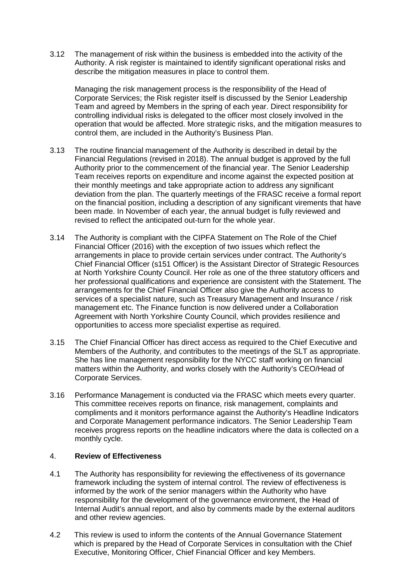3.12 The management of risk within the business is embedded into the activity of the Authority. A risk register is maintained to identify significant operational risks and describe the mitigation measures in place to control them.

Managing the risk management process is the responsibility of the Head of Corporate Services; the Risk register itself is discussed by the Senior Leadership Team and agreed by Members in the spring of each year. Direct responsibility for controlling individual risks is delegated to the officer most closely involved in the operation that would be affected. More strategic risks, and the mitigation measures to control them, are included in the Authority's Business Plan.

- 3.13 The routine financial management of the Authority is described in detail by the Financial Regulations (revised in 2018). The annual budget is approved by the full Authority prior to the commencement of the financial year. The Senior Leadership Team receives reports on expenditure and income against the expected position at their monthly meetings and take appropriate action to address any significant deviation from the plan. The quarterly meetings of the FRASC receive a formal report on the financial position, including a description of any significant virements that have been made. In November of each year, the annual budget is fully reviewed and revised to reflect the anticipated out-turn for the whole year.
- 3.14 The Authority is compliant with the CIPFA Statement on The Role of the Chief Financial Officer (2016) with the exception of two issues which reflect the arrangements in place to provide certain services under contract. The Authority's Chief Financial Officer (s151 Officer) is the Assistant Director of Strategic Resources at North Yorkshire County Council. Her role as one of the three statutory officers and her professional qualifications and experience are consistent with the Statement. The arrangements for the Chief Financial Officer also give the Authority access to services of a specialist nature, such as Treasury Management and Insurance / risk management etc. The Finance function is now delivered under a Collaboration Agreement with North Yorkshire County Council, which provides resilience and opportunities to access more specialist expertise as required.
- 3.15 The Chief Financial Officer has direct access as required to the Chief Executive and Members of the Authority, and contributes to the meetings of the SLT as appropriate. She has line management responsibility for the NYCC staff working on financial matters within the Authority, and works closely with the Authority's CEO/Head of Corporate Services.
- 3.16 Performance Management is conducted via the FRASC which meets every quarter. This committee receives reports on finance, risk management, complaints and compliments and it monitors performance against the Authority's Headline Indicators and Corporate Management performance indicators. The Senior Leadership Team receives progress reports on the headline indicators where the data is collected on a monthly cycle.

## 4. **Review of Effectiveness**

- 4.1 The Authority has responsibility for reviewing the effectiveness of its governance framework including the system of internal control. The review of effectiveness is informed by the work of the senior managers within the Authority who have responsibility for the development of the governance environment, the Head of Internal Audit's annual report, and also by comments made by the external auditors and other review agencies.
- 4.2 This review is used to inform the contents of the Annual Governance Statement which is prepared by the Head of Corporate Services in consultation with the Chief Executive, Monitoring Officer, Chief Financial Officer and key Members.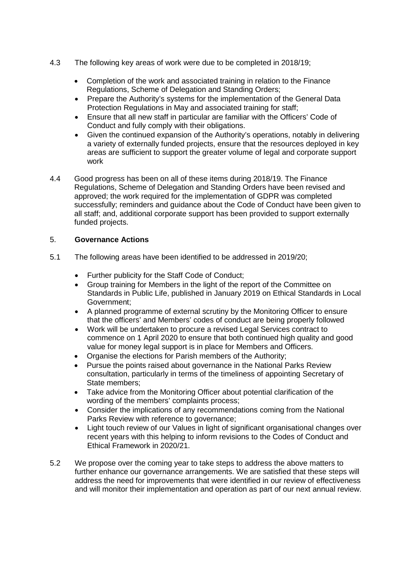- 4.3 The following key areas of work were due to be completed in 2018/19;
	- Completion of the work and associated training in relation to the Finance Regulations, Scheme of Delegation and Standing Orders;
	- Prepare the Authority's systems for the implementation of the General Data Protection Regulations in May and associated training for staff;
	- Ensure that all new staff in particular are familiar with the Officers' Code of Conduct and fully comply with their obligations.
	- Given the continued expansion of the Authority's operations, notably in delivering a variety of externally funded projects, ensure that the resources deployed in key areas are sufficient to support the greater volume of legal and corporate support work
- 4.4 Good progress has been on all of these items during 2018/19. The Finance Regulations, Scheme of Delegation and Standing Orders have been revised and approved; the work required for the implementation of GDPR was completed successfully; reminders and guidance about the Code of Conduct have been given to all staff; and, additional corporate support has been provided to support externally funded projects.

## 5. **Governance Actions**

- 5.1 The following areas have been identified to be addressed in 2019/20;
	- Further publicity for the Staff Code of Conduct:
	- Group training for Members in the light of the report of the Committee on Standards in Public Life, published in January 2019 on Ethical Standards in Local Government;
	- A planned programme of external scrutiny by the Monitoring Officer to ensure that the officers' and Members' codes of conduct are being properly followed
	- Work will be undertaken to procure a revised Legal Services contract to commence on 1 April 2020 to ensure that both continued high quality and good value for money legal support is in place for Members and Officers.
	- Organise the elections for Parish members of the Authority;
	- Pursue the points raised about governance in the National Parks Review consultation, particularly in terms of the timeliness of appointing Secretary of State members;
	- Take advice from the Monitoring Officer about potential clarification of the wording of the members' complaints process;
	- Consider the implications of any recommendations coming from the National Parks Review with reference to governance;
	- Light touch review of our Values in light of significant organisational changes over recent years with this helping to inform revisions to the Codes of Conduct and Ethical Framework in 2020/21.
- 5.2 We propose over the coming year to take steps to address the above matters to further enhance our governance arrangements. We are satisfied that these steps will address the need for improvements that were identified in our review of effectiveness and will monitor their implementation and operation as part of our next annual review.